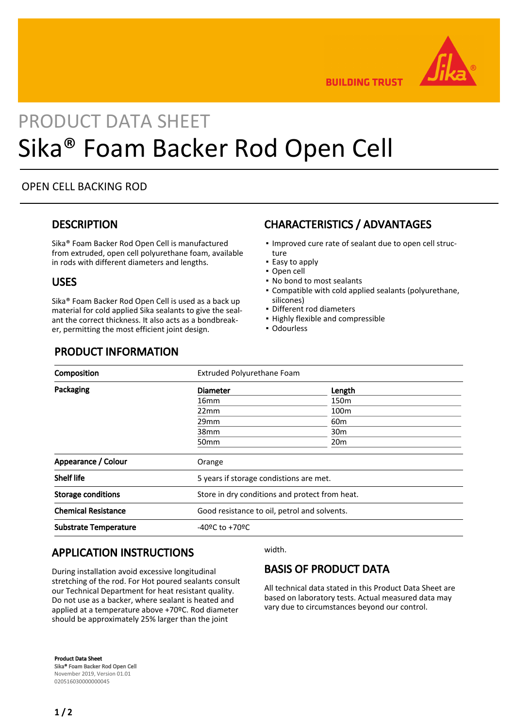

**BUILDING TRUST** 

# PRODUCT DATA SHEET Sika® Foam Backer Rod Open Cell

#### OPEN CELL BACKING ROD

#### **DESCRIPTION**

Sika® Foam Backer Rod Open Cell is manufactured from extruded, open cell polyurethane foam, available in rods with different diameters and lengths.

#### USES

Sika® Foam Backer Rod Open Cell is used as a back up material for cold applied Sika sealants to give the sealant the correct thickness. It also acts as a bondbreaker, permitting the most efficient joint design.

## CHARACTERISTICS / ADVANTAGES

- . Improved cure rate of sealant due to open cell structure
- Easy to apply
- Open cell
- No bond to most sealants
- Compatible with cold applied sealants (polyurethane, silicones)
- **·** Different rod diameters
- Highly flexible and compressible
- Odourless

#### PRODUCT INFORMATION

| Composition                  | Extruded Polyurethane Foam                     |                  |
|------------------------------|------------------------------------------------|------------------|
| Packaging                    | <b>Diameter</b>                                | Length           |
|                              | 16 <sub>mm</sub>                               | 150 <sub>m</sub> |
|                              | 22mm                                           | 100 <sub>m</sub> |
|                              | 29mm                                           | 60 <sub>m</sub>  |
|                              | 38mm                                           | 30 <sub>m</sub>  |
|                              | 50 <sub>mm</sub>                               | 20 <sub>m</sub>  |
| Appearance / Colour          | Orange                                         |                  |
| <b>Shelf life</b>            | 5 years if storage condistions are met.        |                  |
| <b>Storage conditions</b>    | Store in dry conditions and protect from heat. |                  |
| <b>Chemical Resistance</b>   | Good resistance to oil, petrol and solvents.   |                  |
| <b>Substrate Temperature</b> | $-40$ ºC to $+70$ ºC                           |                  |

## APPLICATION INSTRUCTIONS

During installation avoid excessive longitudinal stretching of the rod. For Hot poured sealants consult our Technical Department for heat resistant quality. Do not use as a backer, where sealant is heated and applied at a temperature above +70ºC. Rod diameter should be approximately 25% larger than the joint

width.

## BASIS OF PRODUCT DATA

All technical data stated in this Product Data Sheet are based on laboratory tests. Actual measured data may vary due to circumstances beyond our control.

Product Data Sheet Sika® Foam Backer Rod Open Cell November 2019, Version 01.01 020516030000000045